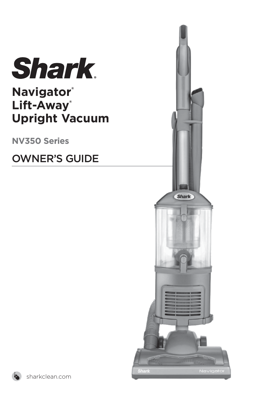

## **Navigator® Lift-Away® Upright Vacuum**

**NV350 Series**

OWNER'S GUIDE



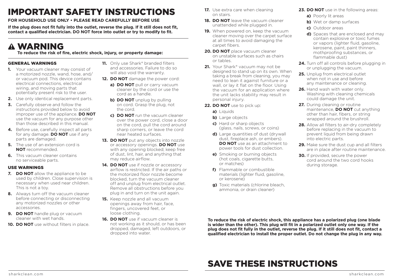## IMPORTANT SAFETY INSTRUCTIONS

**FOR HOUSEHOLD USE ONLY • PLEASE READ CAREFULLY BEFORE USE**

**If the plug does not fit fully into the outlet, reverse the plug. If it still does not fit, contact a qualified electrician. DO NOT force into outlet or try to modify to fit.**

## WARNING

**To reduce the risk of fire, electric shock, injury, or property damage:**

## GENERAL WARNINGS

- **1.** Your vacuum cleaner may consist of a motorized nozzle, wand, hose, and/ or vacuum pod. This device contains electrical connections, electrical wiring, and moving parts that potentially present risk to the user.
- **2.** Use only identical replacement parts.
- **3.** Carefully observe and follow the instructions provided below to avoid improper use of the appliance. **DO NOT** use the vacuum for any purpose other than those described in this manual.
- **4.** Before use, carefully inspect all parts for any damage. **DO NOT** use if any parts are damaged.
- **5.** The use of an extension cord is **NOT** recommended.
- **6.** This vacuum cleaner contains no serviceable parts.

## USE WARNINGS

- **7. DO NOT** allow the appliance to be used by children. Close supervision is necessary when used near children. This is not a toy.
- **8.** Always turn off the vacuum cleaner before connecting or disconnecting any motorized nozzles or other accessories.
- **9. DO NOT** handle plug or vacuum cleaner with wet hands.
- **10. DO NOT** use without filters in place.
- **11.** Only use Shark<sup>®</sup> branded filters and accessories. Failure to do so will also void the warranty.
- **12. DO NOT** damage the power cord:
	- **a) DO NOT** pull or carry vacuum cleaner by the cord or use the cord as a handle.
	- **b) DO NOT** unplug by pulling on cord. Grasp the plug, not the cord.
	- **c) DO NOT** run the vacuum cleaner over the power cord, close a door on the cord, pull the cord around sharp corners, or leave the cord near heated surfaces.
- **13. DO NOT** put any objects into nozzle or accessory openings. **DO NOT** use with any opening blocked; keep free of dust, lint, hair, and anything that may reduce airflow.
- 14. DO NOT use if nozzle or accessory airflow is restricted. If the air paths or the motorized floor nozzle become blocked, turn the vacuum cleaner off and unplug from electrical outlet. Remove all obstructions before you plug in and turn on the unit again.
- **15.** Keep nozzle and all vacuum openings away from hair, face, fingers, uncovered feet, or loose clothing.
- **16. DO NOT** use if vacuum cleaner is not working as it should, or has been dropped, damaged, left outdoors, or dropped into water.
- **17.** Use extra care when cleaning on stairs.
- **18. DO NOT** leave the vacuum cleaner unattended while plugged in.
- **19.** When powered on, keep the vacuum cleaner moving over the carpet surface at all times to avoid damaging the carpet fibers.
- **20. DO NOT** place vacuum cleaner on unstable surfaces such as chairs or tables.
- 21. Your Shark<sup>®</sup> vacuum may not be designed to stand up on its own. When taking a break from cleaning, you may need to lean it against furniture or a wall, or lay it flat on the floor. Using the vacuum for an application where the unit lacks stability may result in personal injury.
- **22. DO NOT** use to pick up:
	- **a)** Liquids
	- **b)** Large objects
	- **c)** Hard or sharp objects (glass, nails, screws, or coins)
	- **d)** Large quantities of dust (drywall dust, fireplace ash, or embers). **DO NOT** use as an attachment to power tools for dust collection.
	- **e)** Smoking or burning objects (hot coals, cigarette butts, or matches)
	- **f)** Flammable or combustible materials (lighter fluid, gasoline, or kerosene)
	- **g)** Toxic materials (chlorine bleach, ammonia, or drain cleaner)
- **23. DO NOT** use in the following areas:
	- **a)** Poorly lit areas
- **b)** Wet or damp surfaces
- **c)** Outdoor areas
- **d)** Spaces that are enclosed and may contain explosive or toxic fumes or vapors (lighter fluid, gasoline, kerosene, paint, paint thinners, mothproofing substances, or flammable dust)
- **24.** Turn off all controls before plugging in or unplugging the vacuum.
- **25.** Unplug from electrical outlet when not in use and before any maintenance or cleaning.
- **26.** Hand wash with water only. Washing with cleaning chemicals could damage the unit.
- **27.** During cleaning or routine maintenance, **DO NOT** cut anything other than hair, fibers, or string wrapped around the brushroll.
- **28.** Allow all filters to air-dry completely before replacing in the vacuum to prevent liquid from being drawn into electric parts.
- 29. Make sure the dust cup and all filters are in place after routine maintenance.
- **30.** If provided, secure the power cord around the two cord hooks during storage.

**To reduce the risk of electric shock, this appliance has a polarized plug (one blade is wider than the other). This plug will fit in a polarized outlet only one way. If the plug does not fit fully in the outlet, reverse the plug. If it still does not fit, contact a qualified electrician to install the proper outlet. Do not change the plug in any way.**

## SAVE THESE INSTRUCTIONS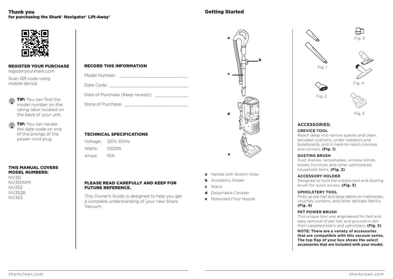### **Thank vou** for purchasing the Shark<sup>®</sup> Navigator® Lift-Away®

## **Getting Started**



#### **REGISTER YOUR PURCHASE**

registeryourshark.com

Scan QR code using mobile device.

TIP: You can find the model number on the rating label located on the back of your unit.

TIP: You can locate the date code on one of the prongs of the power cord plug.

#### **THIS MANUAL COVERS MODEL NUMBERS:**

NV351 **NV351WM1 NV352 NV352B NV353** 

## Model Number: The Contract of the Contract of the Contract of the Contract of the Contract of the Contract of the Contract of the Contract of the Contract of the Contract of the Contract of the Contract of the Contract of Date Code: National Code: National Code: National Code: National Code: National Code: National Code: National Code: National Code: National Code: National Code: National Code: National Code: National Code: National Code: N

Date of Purchase (Keep receipt):

Store of Purchase:

### **TECHNICAL SPECIFICATIONS**

**RECORD THIS INFORMATION** 

| Voltage: | 120V, 60Hz |
|----------|------------|
| Watts:   | 1200W      |
| Amps:    | 10 A       |

#### PLEASE READ CAREFULLY AND KEEP FOR **FUTURE REFERENCE.**

This Owner's Guide is designed to help you get a complete understanding of your new Shark Vacuum



- a Handle with Stretch Hose
- **b** Accessory Holder
- $c$  Wand
- d Detachable Canister
- **e** Motorized Floor Nozzle



#### **ACCESSORIES:**

#### **CREVICE TOOL**

Reach deep into narrow spaces and clean between cushions, under radiators and baseboards, and in hard-to-reach crevices and corners. (Fig. 1)

#### **DUSTING RRUSH**

Dust shelves, lampshades, window blinds, books, furniture, and other upholstered household items. (Fig. 2)

#### **ACCESSORY HOI DER**

Designed to hold the crevice tool and dusting brush for quick access. (Fig. 3)

#### **UPHOLSTERY TOOL**

Picks up pet hair and large debris on mattresses. couches curtains and other delicate fabrics  $(Fig. 4)$ 

#### **PET POWER BRUSH**

This unique tool was engineered for fast and easy removal of pet hair and ground-in dirt from carpeted stairs and upholstery. (Fig. 5)

NOTE: There are a variety of accessories that are compatible with this vacuum series. The top flap of your box shows the select accessories that are included with your model.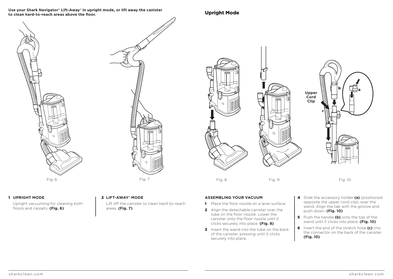**Use your Shark Navigator® Lift-Away® in upright mode, or lift away the canister to clean hard-to-reach areas above the floor.**

Fig. 6 Fig. 7

**b** / 니스 c **Upper Cord Clip**

Fig. 8 Fig. 9 Fig. 10

#### 1 **UPRIGHT MODE**

 Upright vacuuming for cleaning both floors and carpets. **(Fig. 6)** 

#### 2 **LIFT-AWAY® MODE**

 Lift off the canister to clean hard-to-reach areas. **(Fig. 7)**

#### **ASSEMBLING YOUR VACUUM**

Upright Mode

- 1 Place the floor nozzle on a level surface.
- 2 Align the detachable canister over the tube on the floor nozzle. Lower the canister onto the floor nozzle until it clicks securely into place. **(Fig. 8)**
- 3 Insert the wand into the tube on the back of the canister, pressing until it clicks securely into place.
- 4 Slide the accessory holder **(a)** (positioned opposite the upper cord clip), over the wand. Align the tab with the groove and push down. **(Fig. 10)**
- 5 Push the handle **(b)** onto the top of the wand until it clicks into place. **(Fig. 10)**
- 6 Insert the end of the stretch hose **(c)** into the connector on the back of the canister. **(Fig. 10)**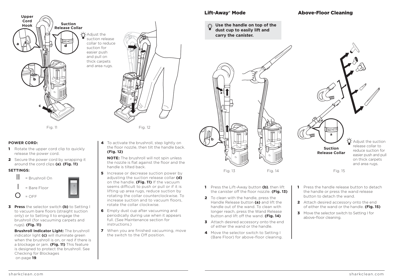

suction release collar to reduce suction for easier push and pull on thick carpets and area rugs.

Fig. 11 Fig. 12

### **POWER CORD:**

- 1 Rotate the upper cord clip to quickly release the power cord.
- 2 Secure the power cord by wrapping it around the cord clips **(a)**. **(Fig. 11)**

#### **SETTINGS:**



3 **Press** the selector switch **(b)** to Setting I to vacuum bare floors (straight suction only) or to Setting II to engage the brushroll (for vacuuming carpets and rugs). **(Fig. 11)**

**Brushroll Indicator Light: The brushroll** indicator light **(c)** will illuminate green when the brushroll is on, or red if there is a blockage or jam. **(Fig. 11)** This feature is designed to protect the brushroll. See Checking for Blockages on page **19**.

#### 4 To activate the brushroll, step lightly on the floor nozzle, then tilt the handle back. **(Fig. 12)**

**NOTE:** The brushroll will not spin unless the nozzle is flat against the floor and the handle is tilted back.

- **5** Increase or decrease suction power by adjusting the suction release collar **(d)** on the handle. **(Fig. 11)** If the vacuum seems difficult to push or pull or if it is lifting up area rugs, reduce suction by rotating the collar counterclockwise. To increase suction and to vacuum floors rotate the collar clockwise.
- 6 Empty dust cup after vacuuming and periodically during use when it appears full. (See Maintenance section for instructions.)
- **7** When you are finished vacuuming, move the switch to the Off position.

## Lift-Away® Mode

#### **Use the handle on top of the dust cup to easily lift and carry the canister.**

Handle Release button **(a)** and lift the handle out of the wand. To clean with longer reach, press the Wand Release button and lift off the wand. **(Fig. 14) 3** Attach desired accessory onto the end of either the wand or the handle. 4 Move the selector switch to Setting I (Bare Floor) for above-floor cleaning.

Fig. 13 Fig. 14



 $\Omega$  -Adjust the suction release collar to reduce suction for easier push and pull on thick carpets and area rugs. **Suction Release Collar a**

Fig. 15

- 1 Press the Lift-Away button **(b)**, then lift the canister off the floor nozzle. **(Fig. 13)** 2 To clean with the handle, press the **1** Press the handle release button to detach the handle or press the wand release button to detach the wand.
	- 2 Attach desired accessory onto the end of either the wand or the handle. **(Fig. 15)**
	- **3** Move the selector switch to Setting I for above-floor cleaning.

sharkclean.com sharkclean.com

## Above-Floor Cleaning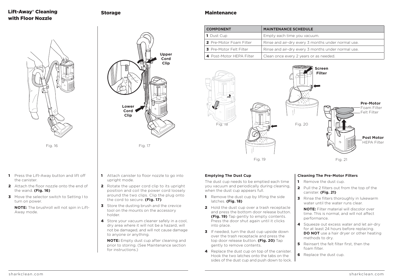## Lift-Away® Cleaning with Floor Nozzle

Storage



Fig. 16

- 1 Press the Lift-Away button and lift off the canister.
- 2 Attach the floor nozzle onto the end of the wand. **(Fig. 16)**
- 3 Move the selector switch to Setting I to turn on power.

**NOTE:** The brushroll will not spin in Lift-Away mode.



1 Attach canister to floor nozzle to go into

2 Rotate the upper cord clip to its upright position and coil the power cord loosely around the two clips. Clip the plug onto

**3** Store the dusting brush and the crevice tool on the mounts on the accessory

4 Store your vacuum cleaner safely in a cool. dry area where it will not be a hazard, will not be damaged, and will not cause damage

 **NOTE:** Empty dust cup after cleaning and prior to storing. (See Maintenance section

the cord to secure. **(Fig. 17)**

to anyone or anything.

for instructions.)

upright mode.

holder.

**Maintenance** 

| <b>COMPONENT</b>         | <b>MAINTENANCE SCHEDULE</b>                        |
|--------------------------|----------------------------------------------------|
| <b>1</b> Dust Cup        | Empty each time you vacuum.                        |
| 2 Pre-Motor Foam Filter  | Rinse and air-dry every 3 months under normal use. |
| 3 Pre-Motor Felt Filter  | Rinse and air-dry every 3 months under normal use. |
| 4 Post-Motor HEPA Filter | Clean once every 2 years or as needed.             |



#### **Emptying The Dust Cup**

The dust cup needs to be emptied each time you vacuum and periodically during cleaning, when the dust cup appears full.

- **1** Remove the dust cup by lifting the side latches. **(Fig. 18)**
- 2 Hold the dust cup over a trash receptacle and press the bottom door release button. **(Fig. 19)** Tap gently to empty contents. Press the door shut again until it clicks into place.
- 3 If needed, turn the dust cup upside down over the trash receptacle and press the top door release button. **(Fig. 20)** Tap gently to remove contents.
- 4 Replace the dust cup on top of the canister. Hook the two latches onto the tabs on the sides of the dust cup and push down to lock.

#### **Cleaning The Pre-Motor Filters**

- 1 Remove the dust cup.
- 2 Pull the 2 filters out from the top of the canister. **(Fig. 21)**
- **3** Rinse the filters thoroughly in lukewarm water until the water runs clear.

**NOTE:** Filter material will discolor over time. This is normal, and will not affect performance.

- 4 Squeeze out excess water and let air-dry for at least 24 hours before replacing. **DO NOT** use a hair dryer or other heating methods to dry.
- **5** Reinsert the felt filter first, then the foam filter.
- 6 Replace the dust cup.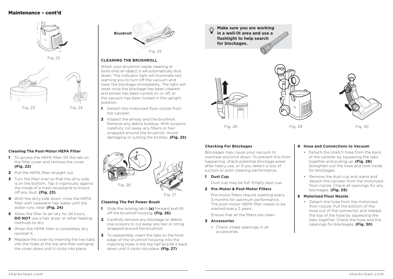

Fig. 22



#### **Cleaning The Post-Motor HEPA Filter**

- 1 To access the HEPA filter, lift the tab on the filter cover and remove the cover. **(Fig. 22)**
- 2 Pull the HEPA filter straight out.
- 3 Turn the filter over so that the dirty side is on the bottom. Tap it vigorously against the inside of a trash receptacle to knock off any dust. **(Fig. 23)**
- 4 With the dirty side down, rinse the HEPA filter with lukewarm tap water until the water runs clear. **(Fig. 24)**
- 5 Allow the filter to air-dry for 24 hours. **DO NOT** use a hair dryer or other heating methods to dry.
- 6 When the HEPA filter is completely dry, reinstall it.
- **7** Replace the cover by inserting the two tabs into the holes at the top and then swinging the cover down until it clicks into place.



#### **CLEANING THE BRUSHROLL**

When your brushroll needs cleaning or locks onto an object, it will automatically shut down. The indicator light will illuminate red, warning you to turn off the vacuum and clear the blockage immediately. The light will reset once the blockage has been cleared and power has been cycled on or off, or the vacuum has been locked in the upright position.

- 1 Detach the motorized floor nozzle from the canister.
- 2 Inspect the airway and the brushroll. Remove any debris buildup. With scissors, carefully cut away any fibers or hair wrapped around the brushroll. Avoid damaging or cutting the bristles. **(Fig. 25)**



Fig. 27

#### **Cleaning The Pet Power Brush**

- 1 Slide the locking latch **(a)** forward and lift off the brushroll housing. **(Fig. 26)**
- **2** Carefully remove any blockage or debris. Use scissors to cut away any hair or string wrapped around the brushroll.
- 3 To reassemble, insert the tabs on the front edge of the brushroll housing into the matching holes in the top half and tilt it back down until it clicks into place. **(Fig. 27)**

**Make sure you are working in a well-lit area and use a flashlight to help search for blockages.**







### **Checking For Blockages**

Blockages may cause your vacuum to overheat and shut down. To prevent this from happening, check potential blockage areas after heavy use, or if you detect a loss of suction or poor cleaning performance.

1 **Dust Cup** 

Dust cup may be full. Empty dust cup.

#### 2 **Pre-Motor & Post-Motor Filters**

 Pre-motor filters require washing every 3 months for optimum performance. The post-motor HEPA filter needs to be washed every 2 years.

Ensure that all the filters are clean.

#### 3 **Accessories**

• Check intake openings in all accessories.

#### 4 **Hose and Connections to Vacuum**

- Detach the stretch hose from the back of the canister by squeezing the tabs together and pulling up. **(Fig. 28)**  Straighten out the hose and look inside for blockages.
- Remove the dust cup and wand and detach the canister from the motorized floor nozzle. Check all openings for any blockages. **(Fig. 29)**

#### 5 **Motorized Floor Nozzle**

• Detach the hose from the motorized floor nozzle. Pull the bottom of the hose out of the connector, and release the top of the hose by squeezing the tabs together. Check the hose and the openings for blockages. **(Fig. 30)**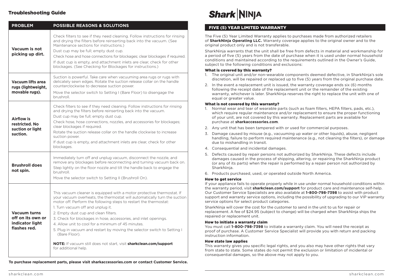## Troubleshooting Guide

| <b>PROBLEM</b>                                                              | <b>POSSIBLE REASONS &amp; SOLUTIONS</b>                                                                                                                                                                                                                                                                                                                                                                                                                                                                                                                                                                                                  |
|-----------------------------------------------------------------------------|------------------------------------------------------------------------------------------------------------------------------------------------------------------------------------------------------------------------------------------------------------------------------------------------------------------------------------------------------------------------------------------------------------------------------------------------------------------------------------------------------------------------------------------------------------------------------------------------------------------------------------------|
| Vacuum is not<br>picking up dirt.                                           | Check filters to see if they need cleaning. Follow instructions for rinsing<br>and drying the filters before reinserting back into the vacuum. (See<br>Maintenance sections for instructions.)<br>Dust cup may be full; empty dust cup.<br>Check hose and hose connections for blockages; clear blockages if required.<br>If dust cup is empty, and attachment inlets are clear, check for other<br>blockages. (See Checking for Blockages for instructions.)                                                                                                                                                                            |
| Vacuum lifts area<br>rugs (lightweight,<br>movable rugs).                   | Suction is powerful. Take care when vacuuming area rugs or rugs with<br>delicately sewn edges. Rotate the suction release collar on the handle<br>counterclockwise to decrease suction power.<br>Move the selector switch to Setting I (Bare Floor) to disengage the<br>brushroll.                                                                                                                                                                                                                                                                                                                                                       |
| Airflow is<br>restricted. No<br>suction or light<br>suction.                | Check filters to see if they need cleaning. Follow instructions for rinsing<br>and drying the filters before reinserting back into the vacuum.<br>Dust cup may be full; empty dust cup.<br>Check hose, hose connections, nozzles, and accessories for blockages;<br>clear blockages if required.<br>Rotate the suction release collar on the handle clockwise to increase<br>suction power.<br>If dust cup is empty, and attachment inlets are clear, check for other<br>blockages.                                                                                                                                                      |
| <b>Brushroll does</b><br>not spin.                                          | Immediately turn off and unplug vacuum, disconnect the nozzle, and<br>remove any blockages before reconnecting and turning vacuum back on.<br>Step lightly on the floor nozzle and tilt the handle back to engage the<br>brushroll.<br>Move the selector switch to Setting II (Brushroll On).                                                                                                                                                                                                                                                                                                                                            |
| <b>Vacuum turns</b><br>off on its own or<br>indicator light<br>flashes red. | This vacuum cleaner is equipped with a motor protective thermostat. If<br>your vacuum overheats, the thermostat will automatically turn the suction<br>motor off. Perform the following steps to restart the thermostat:<br>1. Turn vacuum off and unplug it.<br>2. Empty dust cup and clean filters.<br>3. Check for blockages in hose, accessories, and inlet openings.<br>4. Allow unit to cool for a minimum of 45 minutes.<br>5. Plug in vacuum and restart by moving the selector switch to Setting I<br>(Bare Floor).<br><b>NOTE:</b> If vacuum still does not start, visit <b>sharkclean.com/support</b><br>for additional help. |

**To purchase replacement parts, please visit sharkaccessories.com or contact Customer Service.**

# **Shark NINJA**

### FIVE (5) YEAR LIMITED WARRANTY

The Five (5) Year Limited Warranty applies to purchases made from authorized retailers of **SharkNinja Operating LLC.** Warranty coverage applies to the original owner and to the original product only and is not transferable.

SharkNinja warrants that the unit shall be free from defects in material and workmanship for a period of five (5) years from the date of purchase when it is used under normal household conditions and maintained according to the requirements outlined in the Owner's Guide, subject to the following conditions and exclusions:

#### What is covered by this warranty?

- 1. The original unit and/or non-wearable components deemed defective, in SharkNinja's sole discretion, will be repaired or replaced up to five (5) years from the original purchase date.
- 2. In the event a replacement unit is issued, the warranty coverage ends six (6) months following the receipt date of the replacement unit or the remainder of the existing warranty, whichever is later. SharkNinja reserves the right to replace the unit with one of equal or greater value.

#### What is not covered by this warranty?

- 1. Normal wear and tear of wearable parts (such as foam filters, HEPA filters, pads, etc.), which require requiar maintenance and/or replacement to ensure the proper functioning of your unit, are not covered by this warranty. Replacement parts are available for purchase at **sharkaccessories.com**.
- 2. Any unit that has been tampered with or used for commercial purposes.
- 3. Damage caused by misuse (e.g., vacuuming up water or other liquids), abuse, negligent handling, failure to perform required maintenance (e.g., not cleaning the filters), or damage due to mishandling in transit.
- 4. Consequential and incidental damages.
- 5. Defects caused by repair persons not authorized by SharkNinja. These defects include damages caused in the process of shipping, altering, or repairing the SharkNinja product (or any of its parts) when the repair is performed by a repair person not authorized by SharkNinja.
- 6. Products purchased, used, or operated outside North America.

#### How to get service

If your appliance fails to operate properly while in use under normal household conditions within the warranty period, visit **sharkclean.com/support** for product care and maintenance self-help. Our Customer Service Specialists are also available at **1-800-798-7398** to assist with product support and warranty service options, including the possibility of upgrading to our VIP warranty service options for select product categories.

SharkNinja will cover the cost for the customer to send in the unit to us for repair or replacement. A fee of \$24.95 (subject to change) will be charged when SharkNinja ships the repaired or replacement unit.

#### How to initiate a warranty claim

You must call **1-800-798-7398** to initiate a warranty claim. You will need the receipt as proof of purchase. A Customer Service Specialist will provide you with return and packing instruction information.

#### How state law applies

This warranty gives you specific legal rights, and you also may have other rights that vary from state to state. Some states do not permit the exclusion or limitation of incidental or consequential damages, so the above may not apply to you.